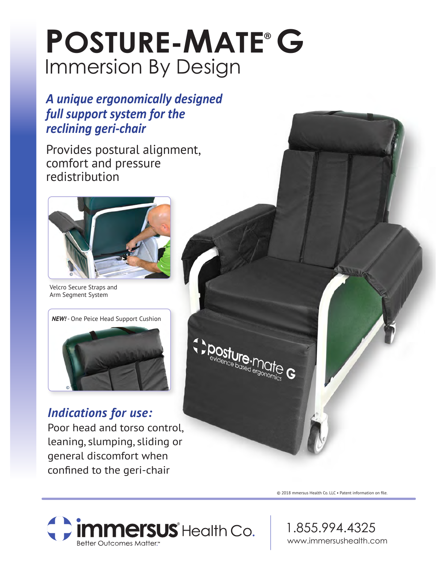# Immersion By Design **POSTURE-MATE® G**

### *A unique ergonomically designed full support system for the reclining geri-chair*

Provides postural alignment, comfort and pressure redistribution



Velcro Secure Straps and Arm Segment System



## *Indications for use:*

Poor head and torso control, leaning, slumping, sliding or general discomfort when confined to the geri-chair



Oosture.<br><sup>evidence he</sub>e.</sup> valure.micebased ergon

© 2018 mmersus Health Co. LLC • Patent information on file.

C